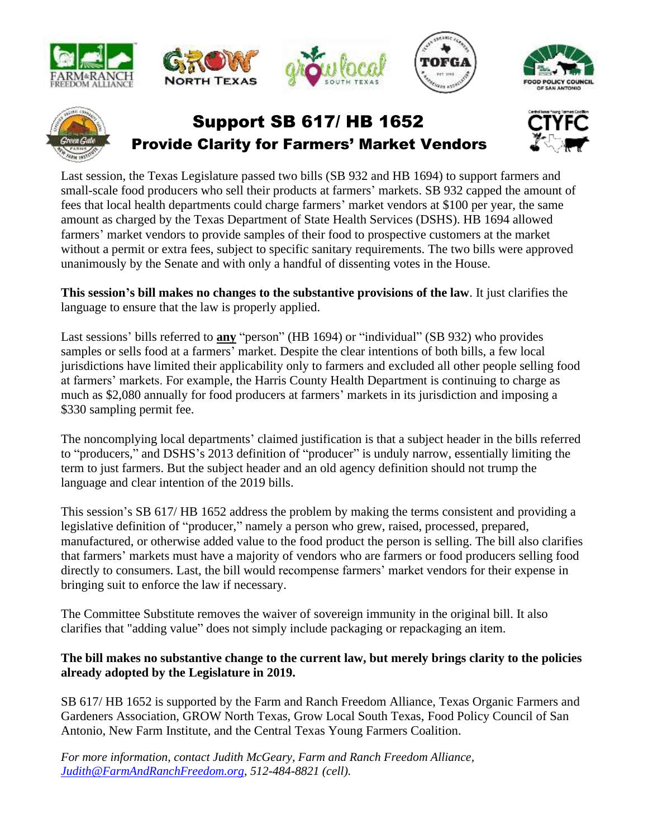











## Support SB 617/ HB 1652 Provide Clarity for Farmers' Market Vendors



Last session, the Texas Legislature passed two bills (SB 932 and HB 1694) to support farmers and small-scale food producers who sell their products at farmers' markets. SB 932 capped the amount of fees that local health departments could charge farmers' market vendors at \$100 per year, the same amount as charged by the Texas Department of State Health Services (DSHS). HB 1694 allowed farmers' market vendors to provide samples of their food to prospective customers at the market without a permit or extra fees, subject to specific sanitary requirements. The two bills were approved unanimously by the Senate and with only a handful of dissenting votes in the House.

**This session's bill makes no changes to the substantive provisions of the law**. It just clarifies the language to ensure that the law is properly applied.

Last sessions' bills referred to **any** "person" (HB 1694) or "individual" (SB 932) who provides samples or sells food at a farmers' market. Despite the clear intentions of both bills, a few local jurisdictions have limited their applicability only to farmers and excluded all other people selling food at farmers' markets. For example, the Harris County Health Department is continuing to charge as much as \$2,080 annually for food producers at farmers' markets in its jurisdiction and imposing a \$330 sampling permit fee.

The noncomplying local departments' claimed justification is that a subject header in the bills referred to "producers," and DSHS's 2013 definition of "producer" is unduly narrow, essentially limiting the term to just farmers. But the subject header and an old agency definition should not trump the language and clear intention of the 2019 bills.

This session's SB 617/ HB 1652 address the problem by making the terms consistent and providing a legislative definition of "producer," namely a person who grew, raised, processed, prepared, manufactured, or otherwise added value to the food product the person is selling. The bill also clarifies that farmers' markets must have a majority of vendors who are farmers or food producers selling food directly to consumers. Last, the bill would recompense farmers' market vendors for their expense in bringing suit to enforce the law if necessary.

The Committee Substitute removes the waiver of sovereign immunity in the original bill. It also clarifies that "adding value" does not simply include packaging or repackaging an item.

## **The bill makes no substantive change to the current law, but merely brings clarity to the policies already adopted by the Legislature in 2019.**

SB 617/ HB 1652 is supported by the Farm and Ranch Freedom Alliance, Texas Organic Farmers and Gardeners Association, GROW North Texas, Grow Local South Texas, Food Policy Council of San Antonio, New Farm Institute, and the Central Texas Young Farmers Coalition.

*For more information, contact Judith McGeary, Farm and Ranch Freedom Alliance, [Judith@FarmAndRanchFreedom.org,](mailto:Judith@FarmAndRanchFreedom.org) 512-484-8821 (cell).*